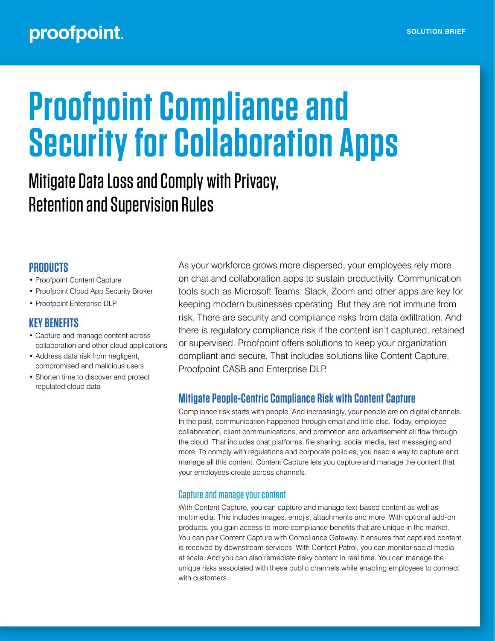# **Proofpoint Compliance and Security for Collaboration Apps**

## Mitigate Data Loss and Comply with Privacy, Retention and Supervision Rules

#### **PRODUCTS**

- Proofpoint Content Capture
- Proofpoint Cloud App Security Broker
- Proofpoint Enterprise DLP

### **KEY BENEFITS**

- Capture and manage content across collaboration and other cloud applications
- Address data risk from negligent, compromised and malicious users
- Shorten time to discover and protect regulated cloud data

As your workforce grows more dispersed, your employees rely more on chat and collaboration apps to sustain productivity. Communication tools such as Microsoft Teams, Slack, Zoom and other apps are key for keeping modern businesses operating. But they are not immune from risk. There are security and compliance risks from data exfiltration. And there is regulatory compliance risk if the content isn't captured, retained or supervised. Proofpoint offers solutions to keep your organization compliant and secure. That includes solutions like Content Capture, Proofpoint CASB and Enterprise DLP.

#### **Mitigate People-Centric Compliance Risk with Content Capture**

Compliance risk starts with people. And increasingly, your people are on digital channels. In the past, communication happened through email and little else. Today, employee collaboration, client communications, and promotion and advertisement all flow through the cloud. That includes chat platforms, file sharing, social media, text messaging and more. To comply with regulations and corporate policies, you need a way to capture and manage all this content. Content Capture lets you capture and manage the content that your employees create across channels.

#### Capture and manage your content

With Content Capture, you can capture and manage text-based content as well as multimedia. This includes images, emojis, attachments and more. With optional add-on products, you gain access to more compliance benefits that are unique in the market. You can pair Content Capture with Compliance Gateway. It ensures that captured content is received by downstream services. With Content Patrol, you can monitor social media at scale. And you can also remediate risky content in real time. You can manage the unique risks associated with these public channels while enabling employees to connect with customers.